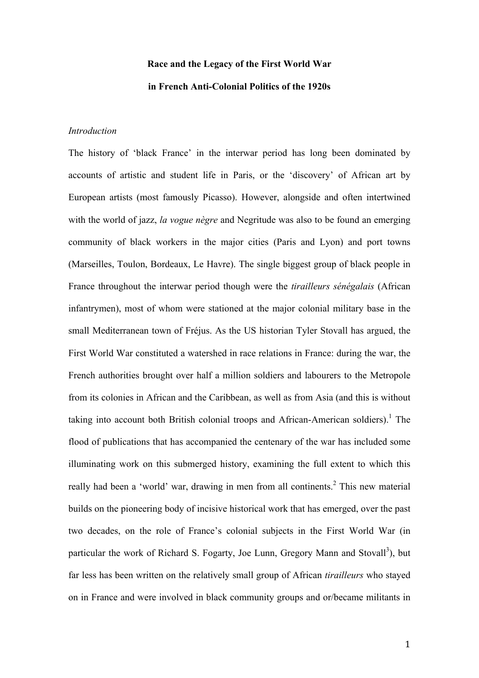# **Race and the Legacy of the First World War in French Anti-Colonial Politics of the 1920s**

## *Introduction*

The history of 'black France' in the interwar period has long been dominated by accounts of artistic and student life in Paris, or the 'discovery' of African art by European artists (most famously Picasso). However, alongside and often intertwined with the world of jazz, *la vogue nègre* and Negritude was also to be found an emerging community of black workers in the major cities (Paris and Lyon) and port towns (Marseilles, Toulon, Bordeaux, Le Havre). The single biggest group of black people in France throughout the interwar period though were the *tirailleurs sénégalais* (African infantrymen), most of whom were stationed at the major colonial military base in the small Mediterranean town of Fréjus. As the US historian Tyler Stovall has argued, the First World War constituted a watershed in race relations in France: during the war, the French authorities brought over half a million soldiers and labourers to the Metropole from its colonies in African and the Caribbean, as well as from Asia (and this is without taking into account both British colonial troops and African-American soldiers).<sup>1</sup> The flood of publications that has accompanied the centenary of the war has included some illuminating work on this submerged history, examining the full extent to which this really had been a 'world' war, drawing in men from all continents.<sup>2</sup> This new material builds on the pioneering body of incisive historical work that has emerged, over the past two decades, on the role of France's colonial subjects in the First World War (in particular the work of Richard S. Fogarty, Joe Lunn, Gregory Mann and Stovall<sup>3</sup>), but far less has been written on the relatively small group of African *tirailleurs* who stayed on in France and were involved in black community groups and or/became militants in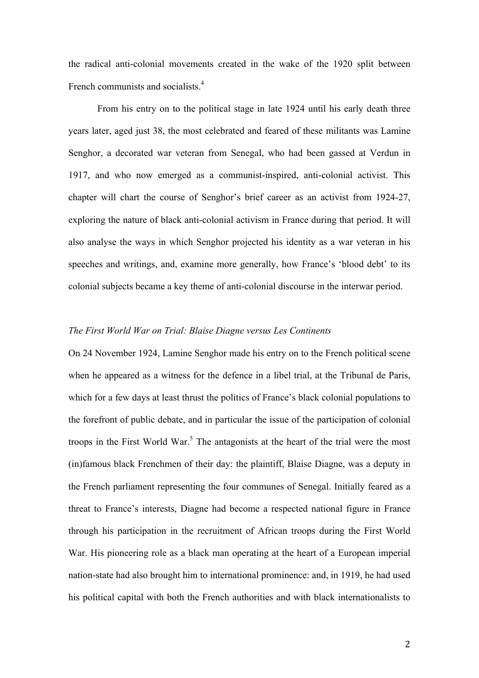the radical anti-colonial movements created in the wake of the 1920 split between French communists and socialists  $4\overline{4}$ 

From his entry on to the political stage in late 1924 until his early death three years later, aged just 38, the most celebrated and feared of these militants was Lamine Senghor, a decorated war veteran from Senegal, who had been gassed at Verdun in 1917, and who now emerged as a communist-inspired, anti-colonial activist. This chapter will chart the course of Senghor's brief career as an activist from 1924-27, exploring the nature of black anti-colonial activism in France during that period. It will also analyse the ways in which Senghor projected his identity as a war veteran in his speeches and writings, and, examine more generally, how France's 'blood debt' to its colonial subjects became a key theme of anti-colonial discourse in the interwar period.

## *The First World War on Trial: Blaise Diagne versus Les Continents*

On 24 November 1924, Lamine Senghor made his entry on to the French political scene when he appeared as a witness for the defence in a libel trial, at the Tribunal de Paris, which for a few days at least thrust the politics of France's black colonial populations to the forefront of public debate, and in particular the issue of the participation of colonial troops in the First World War. <sup>5</sup> The antagonists at the heart of the trial were the most (in)famous black Frenchmen of their day: the plaintiff, Blaise Diagne, was a deputy in the French parliament representing the four communes of Senegal. Initially feared as a threat to France's interests, Diagne had become a respected national figure in France through his participation in the recruitment of African troops during the First World War. His pioneering role as a black man operating at the heart of a European imperial nation-state had also brought him to international prominence: and, in 1919, he had used his political capital with both the French authorities and with black internationalists to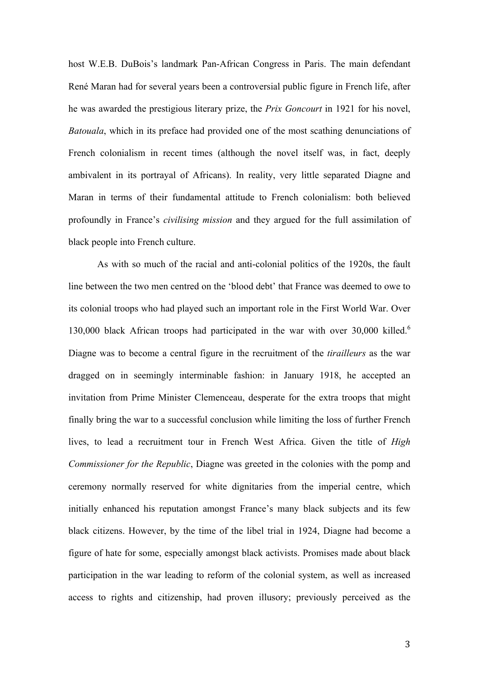host W.E.B. DuBois's landmark Pan-African Congress in Paris. The main defendant René Maran had for several years been a controversial public figure in French life, after he was awarded the prestigious literary prize, the *Prix Goncourt* in 1921 for his novel, *Batouala*, which in its preface had provided one of the most scathing denunciations of French colonialism in recent times (although the novel itself was, in fact, deeply ambivalent in its portrayal of Africans). In reality, very little separated Diagne and Maran in terms of their fundamental attitude to French colonialism: both believed profoundly in France's *civilising mission* and they argued for the full assimilation of black people into French culture.

As with so much of the racial and anti-colonial politics of the 1920s, the fault line between the two men centred on the 'blood debt' that France was deemed to owe to its colonial troops who had played such an important role in the First World War. Over 130,000 black African troops had participated in the war with over 30,000 killed.<sup>6</sup> Diagne was to become a central figure in the recruitment of the *tirailleurs* as the war dragged on in seemingly interminable fashion: in January 1918, he accepted an invitation from Prime Minister Clemenceau, desperate for the extra troops that might finally bring the war to a successful conclusion while limiting the loss of further French lives, to lead a recruitment tour in French West Africa. Given the title of *High Commissioner for the Republic*, Diagne was greeted in the colonies with the pomp and ceremony normally reserved for white dignitaries from the imperial centre, which initially enhanced his reputation amongst France's many black subjects and its few black citizens. However, by the time of the libel trial in 1924, Diagne had become a figure of hate for some, especially amongst black activists. Promises made about black participation in the war leading to reform of the colonial system, as well as increased access to rights and citizenship, had proven illusory; previously perceived as the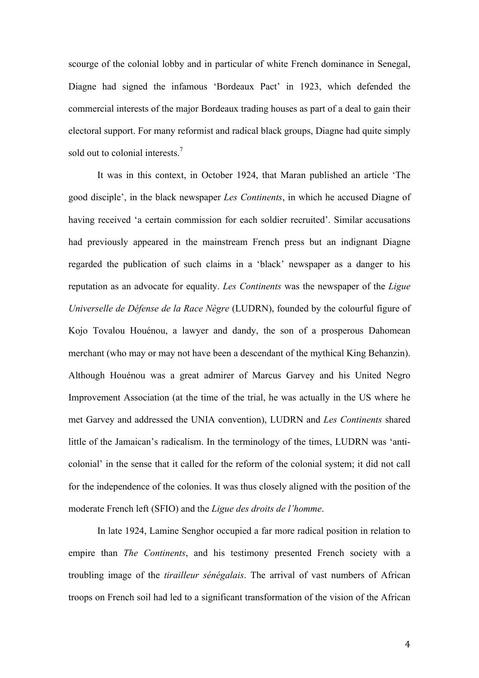scourge of the colonial lobby and in particular of white French dominance in Senegal, Diagne had signed the infamous 'Bordeaux Pact' in 1923, which defended the commercial interests of the major Bordeaux trading houses as part of a deal to gain their electoral support. For many reformist and radical black groups, Diagne had quite simply sold out to colonial interests.<sup>7</sup>

It was in this context, in October 1924, that Maran published an article 'The good disciple', in the black newspaper *Les Continents*, in which he accused Diagne of having received 'a certain commission for each soldier recruited'. Similar accusations had previously appeared in the mainstream French press but an indignant Diagne regarded the publication of such claims in a 'black' newspaper as a danger to his reputation as an advocate for equality. *Les Continents* was the newspaper of the *Ligue Universelle de Défense de la Race Nègre* (LUDRN), founded by the colourful figure of Kojo Tovalou Houénou, a lawyer and dandy, the son of a prosperous Dahomean merchant (who may or may not have been a descendant of the mythical King Behanzin). Although Houénou was a great admirer of Marcus Garvey and his United Negro Improvement Association (at the time of the trial, he was actually in the US where he met Garvey and addressed the UNIA convention), LUDRN and *Les Continents* shared little of the Jamaican's radicalism. In the terminology of the times, LUDRN was 'anticolonial' in the sense that it called for the reform of the colonial system; it did not call for the independence of the colonies. It was thus closely aligned with the position of the moderate French left (SFIO) and the *Ligue des droits de l'homme*.

In late 1924, Lamine Senghor occupied a far more radical position in relation to empire than *The Continents*, and his testimony presented French society with a troubling image of the *tirailleur sénégalais*. The arrival of vast numbers of African troops on French soil had led to a significant transformation of the vision of the African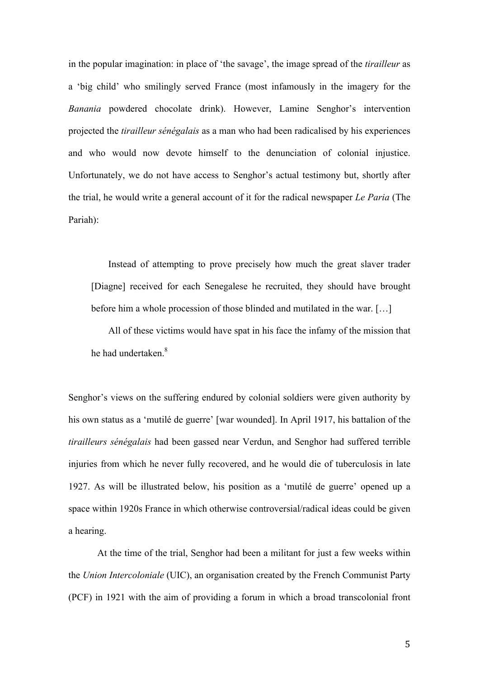in the popular imagination: in place of 'the savage', the image spread of the *tirailleur* as a 'big child' who smilingly served France (most infamously in the imagery for the *Banania* powdered chocolate drink). However, Lamine Senghor's intervention projected the *tirailleur sénégalais* as a man who had been radicalised by his experiences and who would now devote himself to the denunciation of colonial injustice. Unfortunately, we do not have access to Senghor's actual testimony but, shortly after the trial, he would write a general account of it for the radical newspaper *Le Paria* (The Pariah):

Instead of attempting to prove precisely how much the great slaver trader [Diagne] received for each Senegalese he recruited, they should have brought before him a whole procession of those blinded and mutilated in the war. […]

All of these victims would have spat in his face the infamy of the mission that he had undertaken.<sup>8</sup>

Senghor's views on the suffering endured by colonial soldiers were given authority by his own status as a 'mutilé de guerre' [war wounded]. In April 1917, his battalion of the *tirailleurs sénégalais* had been gassed near Verdun, and Senghor had suffered terrible injuries from which he never fully recovered, and he would die of tuberculosis in late 1927. As will be illustrated below, his position as a 'mutilé de guerre' opened up a space within 1920s France in which otherwise controversial/radical ideas could be given a hearing.

At the time of the trial, Senghor had been a militant for just a few weeks within the *Union Intercoloniale* (UIC), an organisation created by the French Communist Party (PCF) in 1921 with the aim of providing a forum in which a broad transcolonial front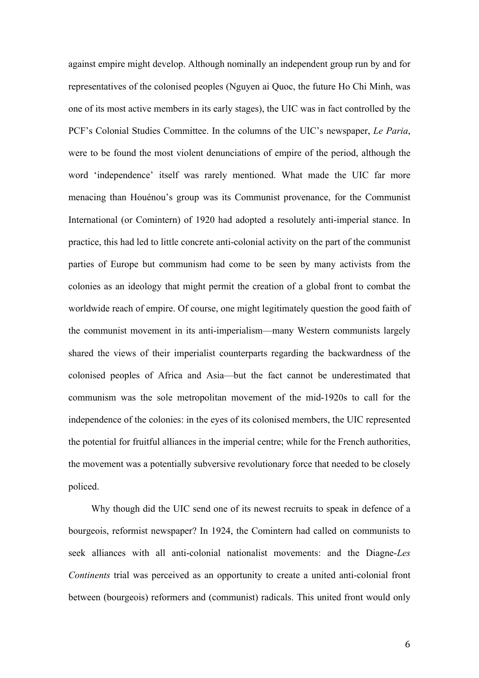against empire might develop. Although nominally an independent group run by and for representatives of the colonised peoples (Nguyen ai Quoc, the future Ho Chi Minh, was one of its most active members in its early stages), the UIC was in fact controlled by the PCF's Colonial Studies Committee. In the columns of the UIC's newspaper, *Le Paria*, were to be found the most violent denunciations of empire of the period, although the word 'independence' itself was rarely mentioned. What made the UIC far more menacing than Houénou's group was its Communist provenance, for the Communist International (or Comintern) of 1920 had adopted a resolutely anti-imperial stance. In practice, this had led to little concrete anti-colonial activity on the part of the communist parties of Europe but communism had come to be seen by many activists from the colonies as an ideology that might permit the creation of a global front to combat the worldwide reach of empire. Of course, one might legitimately question the good faith of the communist movement in its anti-imperialism—many Western communists largely shared the views of their imperialist counterparts regarding the backwardness of the colonised peoples of Africa and Asia—but the fact cannot be underestimated that communism was the sole metropolitan movement of the mid-1920s to call for the independence of the colonies: in the eyes of its colonised members, the UIC represented the potential for fruitful alliances in the imperial centre; while for the French authorities, the movement was a potentially subversive revolutionary force that needed to be closely policed.

Why though did the UIC send one of its newest recruits to speak in defence of a bourgeois, reformist newspaper? In 1924, the Comintern had called on communists to seek alliances with all anti-colonial nationalist movements: and the Diagne-*Les Continents* trial was perceived as an opportunity to create a united anti-colonial front between (bourgeois) reformers and (communist) radicals. This united front would only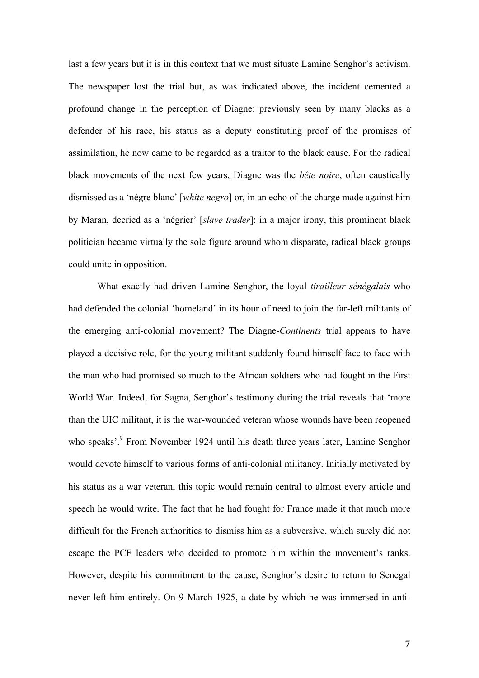last a few years but it is in this context that we must situate Lamine Senghor's activism. The newspaper lost the trial but, as was indicated above, the incident cemented a profound change in the perception of Diagne: previously seen by many blacks as a defender of his race, his status as a deputy constituting proof of the promises of assimilation, he now came to be regarded as a traitor to the black cause. For the radical black movements of the next few years, Diagne was the *bête noire*, often caustically dismissed as a 'nègre blanc' [*white negro*] or, in an echo of the charge made against him by Maran, decried as a 'négrier' [*slave trader*]: in a major irony, this prominent black politician became virtually the sole figure around whom disparate, radical black groups could unite in opposition.

What exactly had driven Lamine Senghor, the loyal *tirailleur sénégalais* who had defended the colonial 'homeland' in its hour of need to join the far-left militants of the emerging anti-colonial movement? The Diagne-*Continents* trial appears to have played a decisive role, for the young militant suddenly found himself face to face with the man who had promised so much to the African soldiers who had fought in the First World War. Indeed, for Sagna, Senghor's testimony during the trial reveals that 'more than the UIC militant, it is the war-wounded veteran whose wounds have been reopened who speaks'.<sup>9</sup> From November 1924 until his death three years later, Lamine Senghor would devote himself to various forms of anti-colonial militancy. Initially motivated by his status as a war veteran, this topic would remain central to almost every article and speech he would write. The fact that he had fought for France made it that much more difficult for the French authorities to dismiss him as a subversive, which surely did not escape the PCF leaders who decided to promote him within the movement's ranks. However, despite his commitment to the cause, Senghor's desire to return to Senegal never left him entirely. On 9 March 1925, a date by which he was immersed in anti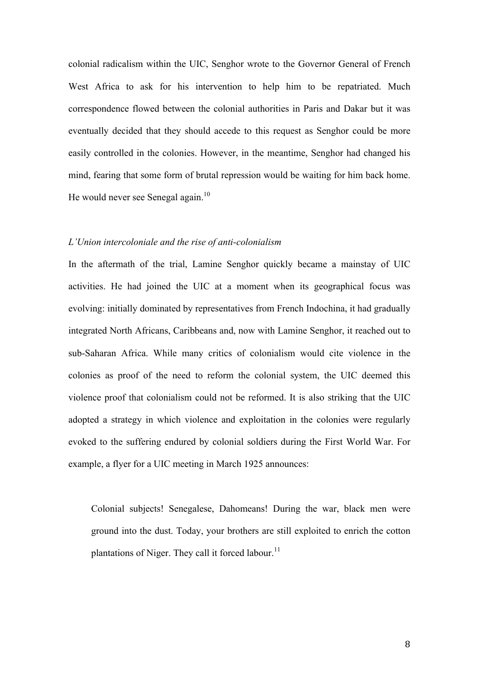colonial radicalism within the UIC, Senghor wrote to the Governor General of French West Africa to ask for his intervention to help him to be repatriated. Much correspondence flowed between the colonial authorities in Paris and Dakar but it was eventually decided that they should accede to this request as Senghor could be more easily controlled in the colonies. However, in the meantime, Senghor had changed his mind, fearing that some form of brutal repression would be waiting for him back home. He would never see Senegal again.<sup>10</sup>

### *L'Union intercoloniale and the rise of anti-colonialism*

In the aftermath of the trial, Lamine Senghor quickly became a mainstay of UIC activities. He had joined the UIC at a moment when its geographical focus was evolving: initially dominated by representatives from French Indochina, it had gradually integrated North Africans, Caribbeans and, now with Lamine Senghor, it reached out to sub-Saharan Africa. While many critics of colonialism would cite violence in the colonies as proof of the need to reform the colonial system, the UIC deemed this violence proof that colonialism could not be reformed. It is also striking that the UIC adopted a strategy in which violence and exploitation in the colonies were regularly evoked to the suffering endured by colonial soldiers during the First World War. For example, a flyer for a UIC meeting in March 1925 announces:

Colonial subjects! Senegalese, Dahomeans! During the war, black men were ground into the dust. Today, your brothers are still exploited to enrich the cotton plantations of Niger. They call it forced labour.<sup>11</sup>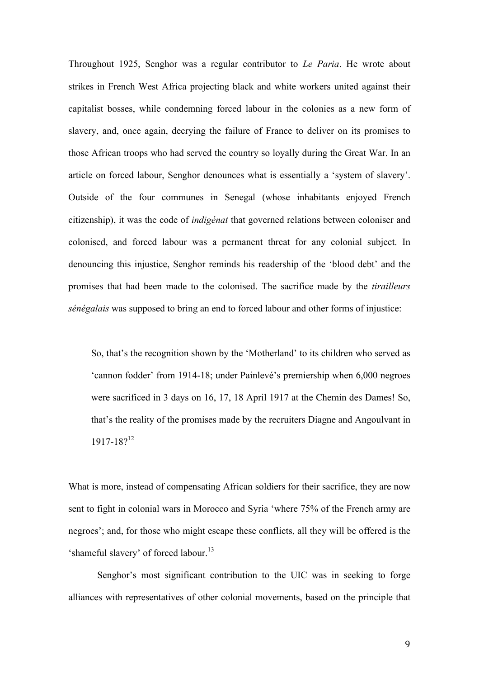Throughout 1925, Senghor was a regular contributor to *Le Paria*. He wrote about strikes in French West Africa projecting black and white workers united against their capitalist bosses, while condemning forced labour in the colonies as a new form of slavery, and, once again, decrying the failure of France to deliver on its promises to those African troops who had served the country so loyally during the Great War. In an article on forced labour, Senghor denounces what is essentially a 'system of slavery'. Outside of the four communes in Senegal (whose inhabitants enjoyed French citizenship), it was the code of *indigénat* that governed relations between coloniser and colonised, and forced labour was a permanent threat for any colonial subject. In denouncing this injustice, Senghor reminds his readership of the 'blood debt' and the promises that had been made to the colonised. The sacrifice made by the *tirailleurs sénégalais* was supposed to bring an end to forced labour and other forms of injustice:

So, that's the recognition shown by the 'Motherland' to its children who served as 'cannon fodder' from 1914-18; under Painlevé's premiership when 6,000 negroes were sacrificed in 3 days on 16, 17, 18 April 1917 at the Chemin des Dames! So, that's the reality of the promises made by the recruiters Diagne and Angoulvant in  $1917 - 182^{12}$ 

What is more, instead of compensating African soldiers for their sacrifice, they are now sent to fight in colonial wars in Morocco and Syria 'where 75% of the French army are negroes'; and, for those who might escape these conflicts, all they will be offered is the 'shameful slavery' of forced labour.<sup>13</sup>

Senghor's most significant contribution to the UIC was in seeking to forge alliances with representatives of other colonial movements, based on the principle that

9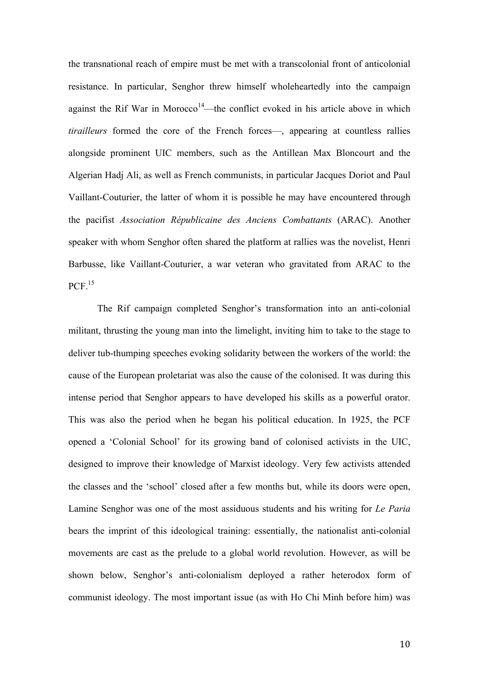the transnational reach of empire must be met with a transcolonial front of anticolonial resistance. In particular, Senghor threw himself wholeheartedly into the campaign against the Rif War in Morocco<sup>14</sup>—the conflict evoked in his article above in which *tirailleurs* formed the core of the French forces—, appearing at countless rallies alongside prominent UIC members, such as the Antillean Max Bloncourt and the Algerian Hadj Ali, as well as French communists, in particular Jacques Doriot and Paul Vaillant-Couturier, the latter of whom it is possible he may have encountered through the pacifist *Association Républicaine des Anciens Combattants* (ARAC). Another speaker with whom Senghor often shared the platform at rallies was the novelist, Henri Barbusse, like Vaillant-Couturier, a war veteran who gravitated from ARAC to the  $PCF<sup>15</sup>$ 

The Rif campaign completed Senghor's transformation into an anti-colonial militant, thrusting the young man into the limelight, inviting him to take to the stage to deliver tub-thumping speeches evoking solidarity between the workers of the world: the cause of the European proletariat was also the cause of the colonised. It was during this intense period that Senghor appears to have developed his skills as a powerful orator. This was also the period when he began his political education. In 1925, the PCF opened a 'Colonial School' for its growing band of colonised activists in the UIC, designed to improve their knowledge of Marxist ideology. Very few activists attended the classes and the 'school' closed after a few months but, while its doors were open, Lamine Senghor was one of the most assiduous students and his writing for *Le Paria* bears the imprint of this ideological training: essentially, the nationalist anti-colonial movements are cast as the prelude to a global world revolution. However, as will be shown below, Senghor's anti-colonialism deployed a rather heterodox form of communist ideology. The most important issue (as with Ho Chi Minh before him) was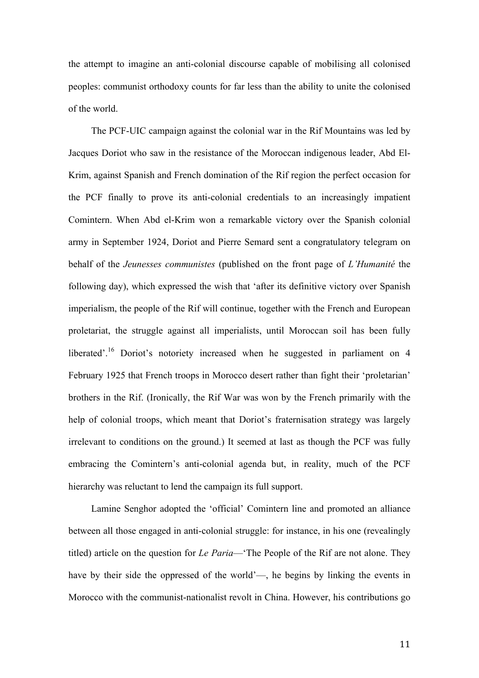the attempt to imagine an anti-colonial discourse capable of mobilising all colonised peoples: communist orthodoxy counts for far less than the ability to unite the colonised of the world.

The PCF-UIC campaign against the colonial war in the Rif Mountains was led by Jacques Doriot who saw in the resistance of the Moroccan indigenous leader, Abd El-Krim, against Spanish and French domination of the Rif region the perfect occasion for the PCF finally to prove its anti-colonial credentials to an increasingly impatient Comintern. When Abd el-Krim won a remarkable victory over the Spanish colonial army in September 1924, Doriot and Pierre Semard sent a congratulatory telegram on behalf of the *Jeunesses communistes* (published on the front page of *L'Humanité* the following day), which expressed the wish that 'after its definitive victory over Spanish imperialism, the people of the Rif will continue, together with the French and European proletariat, the struggle against all imperialists, until Moroccan soil has been fully liberated'.<sup>16</sup> Doriot's notoriety increased when he suggested in parliament on 4 February 1925 that French troops in Morocco desert rather than fight their 'proletarian' brothers in the Rif. (Ironically, the Rif War was won by the French primarily with the help of colonial troops, which meant that Doriot's fraternisation strategy was largely irrelevant to conditions on the ground.) It seemed at last as though the PCF was fully embracing the Comintern's anti-colonial agenda but, in reality, much of the PCF hierarchy was reluctant to lend the campaign its full support.

Lamine Senghor adopted the 'official' Comintern line and promoted an alliance between all those engaged in anti-colonial struggle: for instance, in his one (revealingly titled) article on the question for *Le Paria*—'The People of the Rif are not alone. They have by their side the oppressed of the world'—, he begins by linking the events in Morocco with the communist-nationalist revolt in China. However, his contributions go

11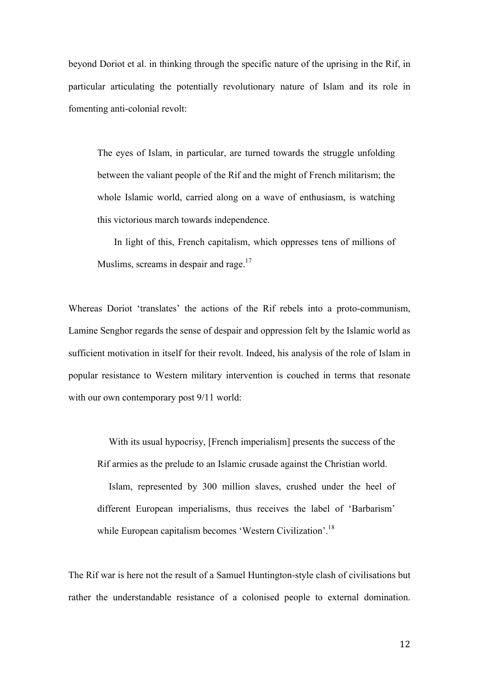beyond Doriot et al. in thinking through the specific nature of the uprising in the Rif, in particular articulating the potentially revolutionary nature of Islam and its role in fomenting anti-colonial revolt:

The eyes of Islam, in particular, are turned towards the struggle unfolding between the valiant people of the Rif and the might of French militarism; the whole Islamic world, carried along on a wave of enthusiasm, is watching this victorious march towards independence.

In light of this, French capitalism, which oppresses tens of millions of Muslims, screams in despair and rage.<sup>17</sup>

Whereas Doriot 'translates' the actions of the Rif rebels into a proto-communism, Lamine Senghor regards the sense of despair and oppression felt by the Islamic world as sufficient motivation in itself for their revolt. Indeed, his analysis of the role of Islam in popular resistance to Western military intervention is couched in terms that resonate with our own contemporary post  $9/11$  world:

With its usual hypocrisy, [French imperialism] presents the success of the Rif armies as the prelude to an Islamic crusade against the Christian world.

Islam, represented by 300 million slaves, crushed under the heel of different European imperialisms, thus receives the label of 'Barbarism' while European capitalism becomes 'Western Civilization'.<sup>18</sup>

The Rif war is here not the result of a Samuel Huntington-style clash of civilisations but rather the understandable resistance of a colonised people to external domination.

12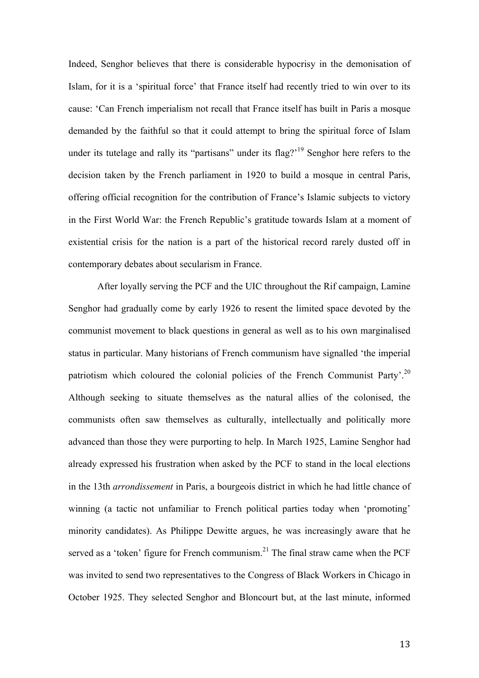Indeed, Senghor believes that there is considerable hypocrisy in the demonisation of Islam, for it is a 'spiritual force' that France itself had recently tried to win over to its cause: 'Can French imperialism not recall that France itself has built in Paris a mosque demanded by the faithful so that it could attempt to bring the spiritual force of Islam under its tutelage and rally its "partisans" under its flag?<sup>19</sup> Senghor here refers to the decision taken by the French parliament in 1920 to build a mosque in central Paris, offering official recognition for the contribution of France's Islamic subjects to victory in the First World War: the French Republic's gratitude towards Islam at a moment of existential crisis for the nation is a part of the historical record rarely dusted off in contemporary debates about secularism in France.

After loyally serving the PCF and the UIC throughout the Rif campaign, Lamine Senghor had gradually come by early 1926 to resent the limited space devoted by the communist movement to black questions in general as well as to his own marginalised status in particular. Many historians of French communism have signalled 'the imperial patriotism which coloured the colonial policies of the French Communist Party'.<sup>20</sup> Although seeking to situate themselves as the natural allies of the colonised, the communists often saw themselves as culturally, intellectually and politically more advanced than those they were purporting to help. In March 1925, Lamine Senghor had already expressed his frustration when asked by the PCF to stand in the local elections in the 13th *arrondissement* in Paris, a bourgeois district in which he had little chance of winning (a tactic not unfamiliar to French political parties today when 'promoting' minority candidates). As Philippe Dewitte argues, he was increasingly aware that he served as a 'token' figure for French communism.<sup>21</sup> The final straw came when the PCF was invited to send two representatives to the Congress of Black Workers in Chicago in October 1925. They selected Senghor and Bloncourt but, at the last minute, informed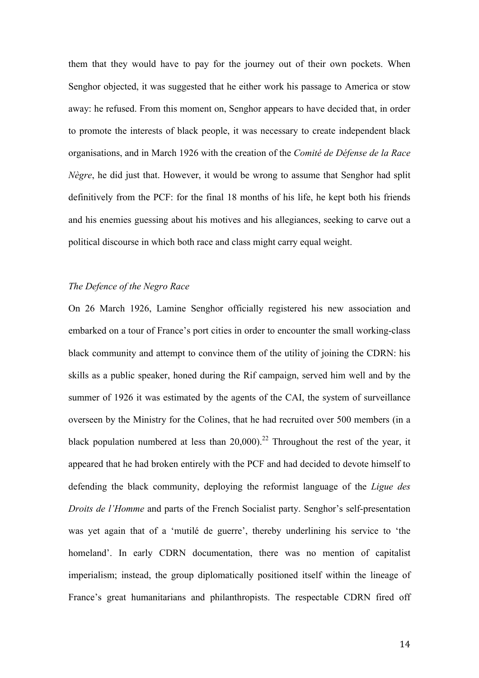them that they would have to pay for the journey out of their own pockets. When Senghor objected, it was suggested that he either work his passage to America or stow away: he refused. From this moment on, Senghor appears to have decided that, in order to promote the interests of black people, it was necessary to create independent black organisations, and in March 1926 with the creation of the *Comité de Défense de la Race Nègre*, he did just that. However, it would be wrong to assume that Senghor had split definitively from the PCF: for the final 18 months of his life, he kept both his friends and his enemies guessing about his motives and his allegiances, seeking to carve out a political discourse in which both race and class might carry equal weight.

## *The Defence of the Negro Race*

On 26 March 1926, Lamine Senghor officially registered his new association and embarked on a tour of France's port cities in order to encounter the small working-class black community and attempt to convince them of the utility of joining the CDRN: his skills as a public speaker, honed during the Rif campaign, served him well and by the summer of 1926 it was estimated by the agents of the CAI, the system of surveillance overseen by the Ministry for the Colines, that he had recruited over 500 members (in a black population numbered at less than  $20,000$ .<sup>22</sup> Throughout the rest of the year, it appeared that he had broken entirely with the PCF and had decided to devote himself to defending the black community, deploying the reformist language of the *Ligue des Droits de l'Homme* and parts of the French Socialist party. Senghor's self-presentation was yet again that of a 'mutilé de guerre', thereby underlining his service to 'the homeland'. In early CDRN documentation, there was no mention of capitalist imperialism; instead, the group diplomatically positioned itself within the lineage of France's great humanitarians and philanthropists. The respectable CDRN fired off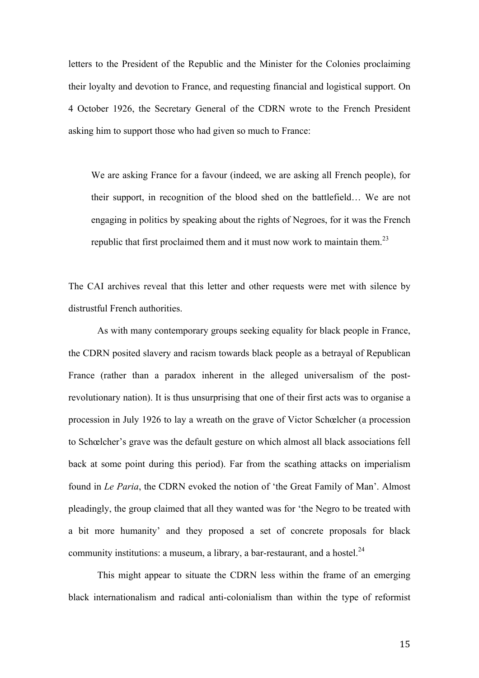letters to the President of the Republic and the Minister for the Colonies proclaiming their loyalty and devotion to France, and requesting financial and logistical support. On 4 October 1926, the Secretary General of the CDRN wrote to the French President asking him to support those who had given so much to France:

We are asking France for a favour (indeed, we are asking all French people), for their support, in recognition of the blood shed on the battlefield… We are not engaging in politics by speaking about the rights of Negroes, for it was the French republic that first proclaimed them and it must now work to maintain them.<sup>23</sup>

The CAI archives reveal that this letter and other requests were met with silence by distrustful French authorities.

As with many contemporary groups seeking equality for black people in France, the CDRN posited slavery and racism towards black people as a betrayal of Republican France (rather than a paradox inherent in the alleged universalism of the postrevolutionary nation). It is thus unsurprising that one of their first acts was to organise a procession in July 1926 to lay a wreath on the grave of Victor Schœlcher (a procession to Schœlcher's grave was the default gesture on which almost all black associations fell back at some point during this period). Far from the scathing attacks on imperialism found in *Le Paria*, the CDRN evoked the notion of 'the Great Family of Man'. Almost pleadingly, the group claimed that all they wanted was for 'the Negro to be treated with a bit more humanity' and they proposed a set of concrete proposals for black community institutions: a museum, a library, a bar-restaurant, and a hostel. $^{24}$ 

This might appear to situate the CDRN less within the frame of an emerging black internationalism and radical anti-colonialism than within the type of reformist

15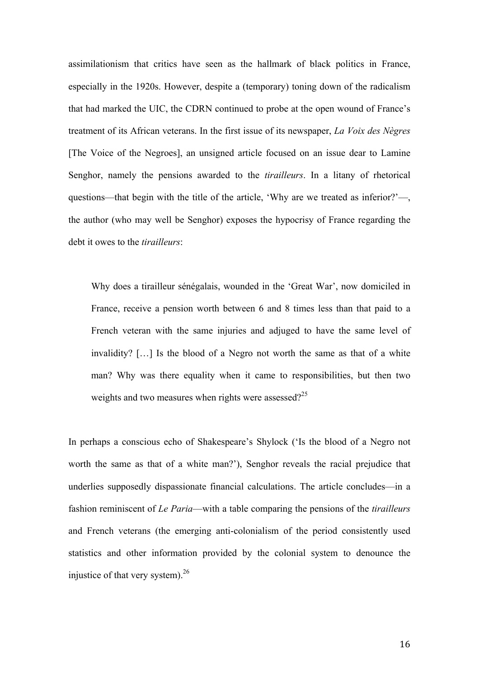assimilationism that critics have seen as the hallmark of black politics in France, especially in the 1920s. However, despite a (temporary) toning down of the radicalism that had marked the UIC, the CDRN continued to probe at the open wound of France's treatment of its African veterans. In the first issue of its newspaper, *La Voix des Nègres* [The Voice of the Negroes], an unsigned article focused on an issue dear to Lamine Senghor, namely the pensions awarded to the *tirailleurs*. In a litany of rhetorical questions—that begin with the title of the article, 'Why are we treated as inferior?'—, the author (who may well be Senghor) exposes the hypocrisy of France regarding the debt it owes to the *tirailleurs*:

Why does a tirailleur sénégalais, wounded in the 'Great War', now domiciled in France, receive a pension worth between 6 and 8 times less than that paid to a French veteran with the same injuries and adjuged to have the same level of invalidity? […] Is the blood of a Negro not worth the same as that of a white man? Why was there equality when it came to responsibilities, but then two weights and two measures when rights were assessed? $2^{25}$ 

In perhaps a conscious echo of Shakespeare's Shylock ('Is the blood of a Negro not worth the same as that of a white man?'), Senghor reveals the racial prejudice that underlies supposedly dispassionate financial calculations. The article concludes—in a fashion reminiscent of *Le Paria*—with a table comparing the pensions of the *tirailleurs* and French veterans (the emerging anti-colonialism of the period consistently used statistics and other information provided by the colonial system to denounce the injustice of that very system). $^{26}$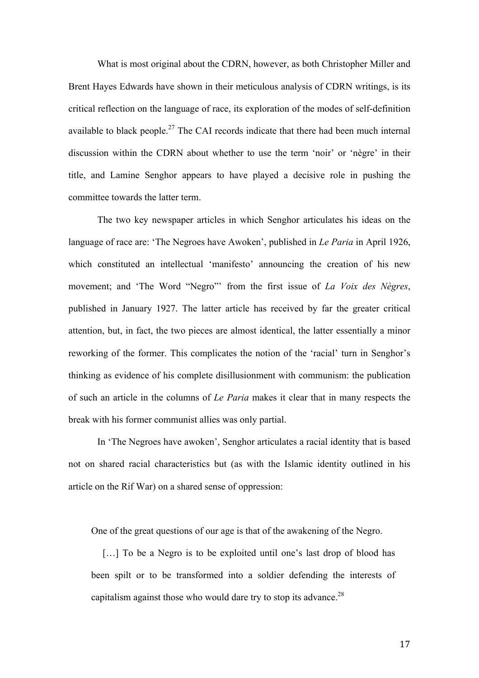What is most original about the CDRN, however, as both Christopher Miller and Brent Hayes Edwards have shown in their meticulous analysis of CDRN writings, is its critical reflection on the language of race, its exploration of the modes of self-definition available to black people.<sup>27</sup> The CAI records indicate that there had been much internal discussion within the CDRN about whether to use the term 'noir' or 'nègre' in their title, and Lamine Senghor appears to have played a decisive role in pushing the committee towards the latter term.

The two key newspaper articles in which Senghor articulates his ideas on the language of race are: 'The Negroes have Awoken', published in *Le Paria* in April 1926, which constituted an intellectual 'manifesto' announcing the creation of his new movement; and 'The Word "Negro"' from the first issue of *La Voix des Nègres*, published in January 1927. The latter article has received by far the greater critical attention, but, in fact, the two pieces are almost identical, the latter essentially a minor reworking of the former. This complicates the notion of the 'racial' turn in Senghor's thinking as evidence of his complete disillusionment with communism: the publication of such an article in the columns of *Le Paria* makes it clear that in many respects the break with his former communist allies was only partial.

In 'The Negroes have awoken', Senghor articulates a racial identity that is based not on shared racial characteristics but (as with the Islamic identity outlined in his article on the Rif War) on a shared sense of oppression:

One of the great questions of our age is that of the awakening of the Negro.

[...] To be a Negro is to be exploited until one's last drop of blood has been spilt or to be transformed into a soldier defending the interests of capitalism against those who would dare try to stop its advance.<sup>28</sup>

17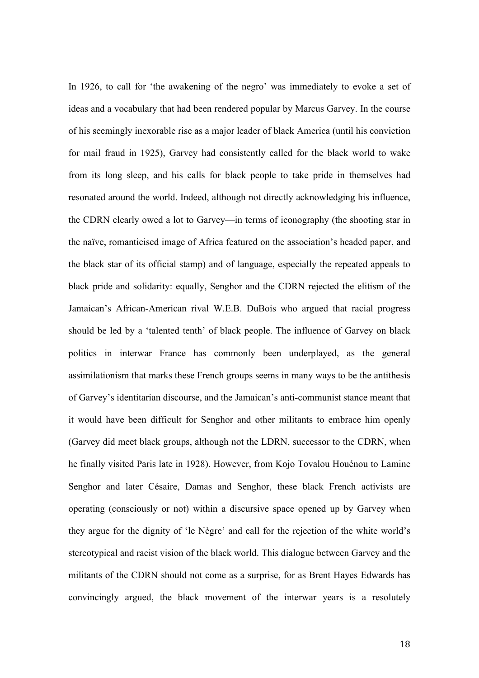In 1926, to call for 'the awakening of the negro' was immediately to evoke a set of ideas and a vocabulary that had been rendered popular by Marcus Garvey. In the course of his seemingly inexorable rise as a major leader of black America (until his conviction for mail fraud in 1925), Garvey had consistently called for the black world to wake from its long sleep, and his calls for black people to take pride in themselves had resonated around the world. Indeed, although not directly acknowledging his influence, the CDRN clearly owed a lot to Garvey—in terms of iconography (the shooting star in the naïve, romanticised image of Africa featured on the association's headed paper, and the black star of its official stamp) and of language, especially the repeated appeals to black pride and solidarity: equally, Senghor and the CDRN rejected the elitism of the Jamaican's African-American rival W.E.B. DuBois who argued that racial progress should be led by a 'talented tenth' of black people. The influence of Garvey on black politics in interwar France has commonly been underplayed, as the general assimilationism that marks these French groups seems in many ways to be the antithesis of Garvey's identitarian discourse, and the Jamaican's anti-communist stance meant that it would have been difficult for Senghor and other militants to embrace him openly (Garvey did meet black groups, although not the LDRN, successor to the CDRN, when he finally visited Paris late in 1928). However, from Kojo Tovalou Houénou to Lamine Senghor and later Césaire, Damas and Senghor, these black French activists are operating (consciously or not) within a discursive space opened up by Garvey when they argue for the dignity of 'le Nègre' and call for the rejection of the white world's stereotypical and racist vision of the black world. This dialogue between Garvey and the militants of the CDRN should not come as a surprise, for as Brent Hayes Edwards has convincingly argued, the black movement of the interwar years is a resolutely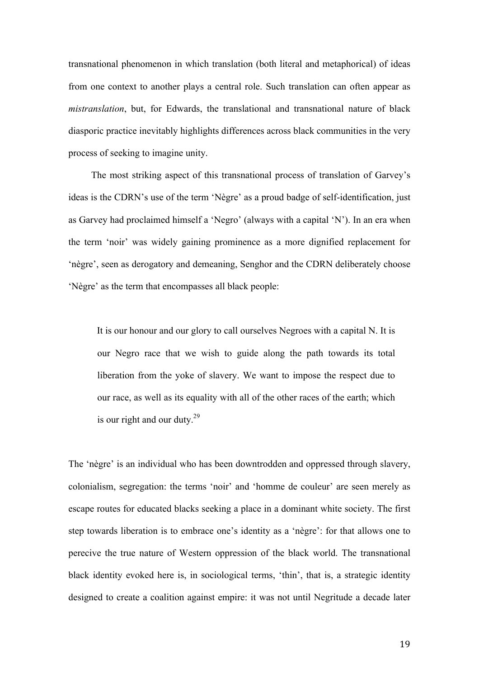transnational phenomenon in which translation (both literal and metaphorical) of ideas from one context to another plays a central role. Such translation can often appear as *mistranslation*, but, for Edwards, the translational and transnational nature of black diasporic practice inevitably highlights differences across black communities in the very process of seeking to imagine unity.

The most striking aspect of this transnational process of translation of Garvey's ideas is the CDRN's use of the term 'Nègre' as a proud badge of self-identification, just as Garvey had proclaimed himself a 'Negro' (always with a capital 'N'). In an era when the term 'noir' was widely gaining prominence as a more dignified replacement for 'nègre', seen as derogatory and demeaning, Senghor and the CDRN deliberately choose 'Nègre' as the term that encompasses all black people:

It is our honour and our glory to call ourselves Negroes with a capital N. It is our Negro race that we wish to guide along the path towards its total liberation from the yoke of slavery. We want to impose the respect due to our race, as well as its equality with all of the other races of the earth; which is our right and our duty. $^{29}$ 

The 'nègre' is an individual who has been downtrodden and oppressed through slavery, colonialism, segregation: the terms 'noir' and 'homme de couleur' are seen merely as escape routes for educated blacks seeking a place in a dominant white society. The first step towards liberation is to embrace one's identity as a 'nègre': for that allows one to perecive the true nature of Western oppression of the black world. The transnational black identity evoked here is, in sociological terms, 'thin', that is, a strategic identity designed to create a coalition against empire: it was not until Negritude a decade later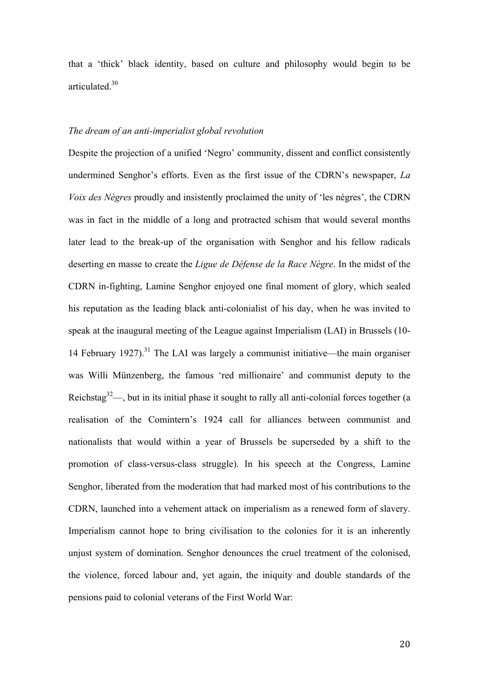that a 'thick' black identity, based on culture and philosophy would begin to be articulated  $30$ 

### *The dream of an anti-imperialist global revolution*

Despite the projection of a unified 'Negro' community, dissent and conflict consistently undermined Senghor's efforts. Even as the first issue of the CDRN's newspaper, *La Voix des Nègres* proudly and insistently proclaimed the unity of 'les nègres', the CDRN was in fact in the middle of a long and protracted schism that would several months later lead to the break-up of the organisation with Senghor and his fellow radicals deserting en masse to create the *Ligue de Défense de la Race Nègre*. In the midst of the CDRN in-fighting, Lamine Senghor enjoyed one final moment of glory, which sealed his reputation as the leading black anti-colonialist of his day, when he was invited to speak at the inaugural meeting of the League against Imperialism (LAI) in Brussels (10- 14 February 1927).<sup>31</sup> The LAI was largely a communist initiative—the main organiser was Willi Münzenberg, the famous 'red millionaire' and communist deputy to the Reichstag<sup>32</sup>—, but in its initial phase it sought to rally all anti-colonial forces together (a realisation of the Comintern's 1924 call for alliances between communist and nationalists that would within a year of Brussels be superseded by a shift to the promotion of class-versus-class struggle). In his speech at the Congress, Lamine Senghor, liberated from the moderation that had marked most of his contributions to the CDRN, launched into a vehement attack on imperialism as a renewed form of slavery. Imperialism cannot hope to bring civilisation to the colonies for it is an inherently unjust system of domination. Senghor denounces the cruel treatment of the colonised, the violence, forced labour and, yet again, the iniquity and double standards of the pensions paid to colonial veterans of the First World War: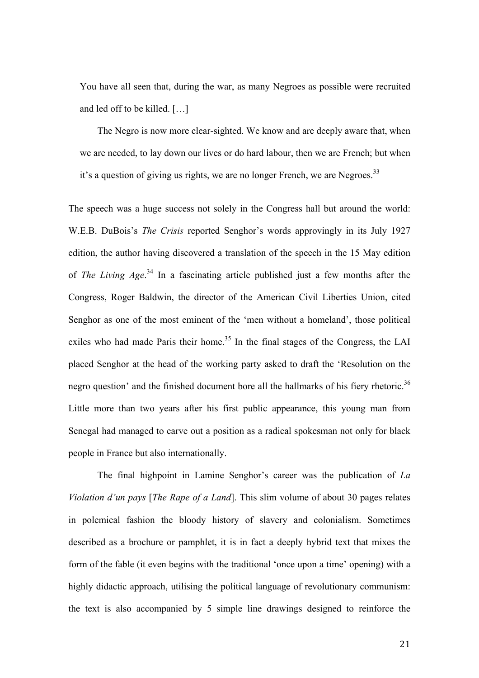You have all seen that, during the war, as many Negroes as possible were recruited and led off to be killed. […]

The Negro is now more clear-sighted. We know and are deeply aware that, when we are needed, to lay down our lives or do hard labour, then we are French; but when it's a question of giving us rights, we are no longer French, we are Negroes.<sup>33</sup>

The speech was a huge success not solely in the Congress hall but around the world: W.E.B. DuBois's *The Crisis* reported Senghor's words approvingly in its July 1927 edition, the author having discovered a translation of the speech in the 15 May edition of *The Living Age*. <sup>34</sup> In a fascinating article published just a few months after the Congress, Roger Baldwin, the director of the American Civil Liberties Union, cited Senghor as one of the most eminent of the 'men without a homeland', those political exiles who had made Paris their home.<sup>35</sup> In the final stages of the Congress, the LAI placed Senghor at the head of the working party asked to draft the 'Resolution on the negro question' and the finished document bore all the hallmarks of his fiery rhetoric.<sup>36</sup> Little more than two years after his first public appearance, this young man from Senegal had managed to carve out a position as a radical spokesman not only for black people in France but also internationally.

The final highpoint in Lamine Senghor's career was the publication of *La Violation d'un pays* [*The Rape of a Land*]. This slim volume of about 30 pages relates in polemical fashion the bloody history of slavery and colonialism. Sometimes described as a brochure or pamphlet, it is in fact a deeply hybrid text that mixes the form of the fable (it even begins with the traditional 'once upon a time' opening) with a highly didactic approach, utilising the political language of revolutionary communism: the text is also accompanied by 5 simple line drawings designed to reinforce the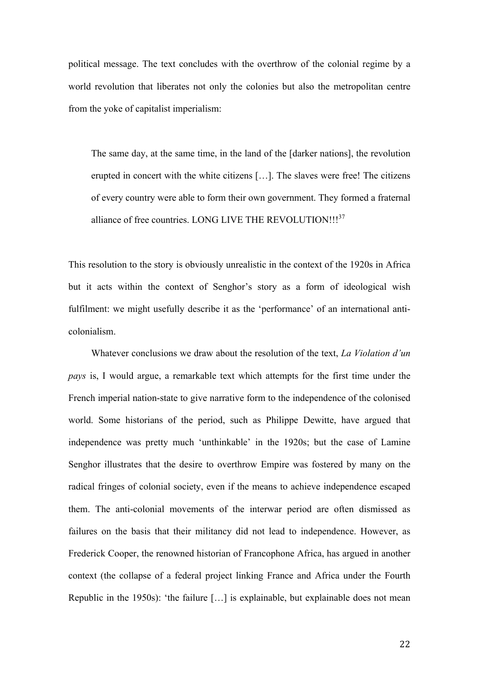political message. The text concludes with the overthrow of the colonial regime by a world revolution that liberates not only the colonies but also the metropolitan centre from the yoke of capitalist imperialism:

The same day, at the same time, in the land of the [darker nations], the revolution erupted in concert with the white citizens […]. The slaves were free! The citizens of every country were able to form their own government. They formed a fraternal alliance of free countries. LONG LIVE THE REVOLUTION!!!<sup>37</sup>

This resolution to the story is obviously unrealistic in the context of the 1920s in Africa but it acts within the context of Senghor's story as a form of ideological wish fulfilment: we might usefully describe it as the 'performance' of an international anticolonialism.

Whatever conclusions we draw about the resolution of the text, *La Violation d'un pays* is, I would argue, a remarkable text which attempts for the first time under the French imperial nation-state to give narrative form to the independence of the colonised world. Some historians of the period, such as Philippe Dewitte, have argued that independence was pretty much 'unthinkable' in the 1920s; but the case of Lamine Senghor illustrates that the desire to overthrow Empire was fostered by many on the radical fringes of colonial society, even if the means to achieve independence escaped them. The anti-colonial movements of the interwar period are often dismissed as failures on the basis that their militancy did not lead to independence. However, as Frederick Cooper, the renowned historian of Francophone Africa, has argued in another context (the collapse of a federal project linking France and Africa under the Fourth Republic in the 1950s): 'the failure […] is explainable, but explainable does not mean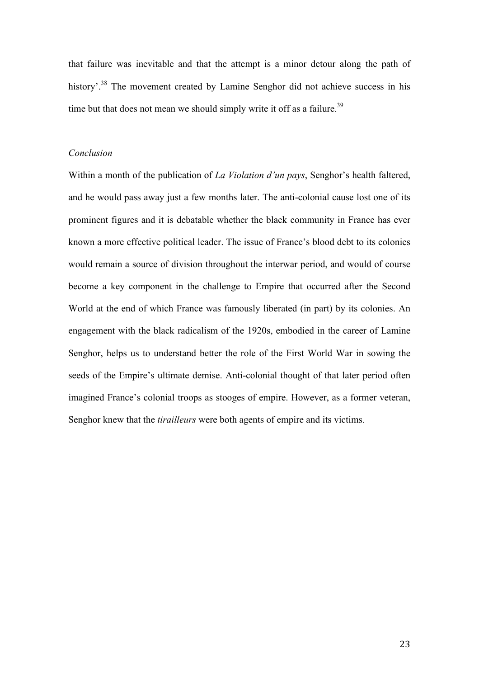that failure was inevitable and that the attempt is a minor detour along the path of history'.<sup>38</sup> The movement created by Lamine Senghor did not achieve success in his time but that does not mean we should simply write it off as a failure.<sup>39</sup>

#### *Conclusion*

Within a month of the publication of *La Violation d'un pays*, Senghor's health faltered, and he would pass away just a few months later. The anti-colonial cause lost one of its prominent figures and it is debatable whether the black community in France has ever known a more effective political leader. The issue of France's blood debt to its colonies would remain a source of division throughout the interwar period, and would of course become a key component in the challenge to Empire that occurred after the Second World at the end of which France was famously liberated (in part) by its colonies. An engagement with the black radicalism of the 1920s, embodied in the career of Lamine Senghor, helps us to understand better the role of the First World War in sowing the seeds of the Empire's ultimate demise. Anti-colonial thought of that later period often imagined France's colonial troops as stooges of empire. However, as a former veteran, Senghor knew that the *tirailleurs* were both agents of empire and its victims.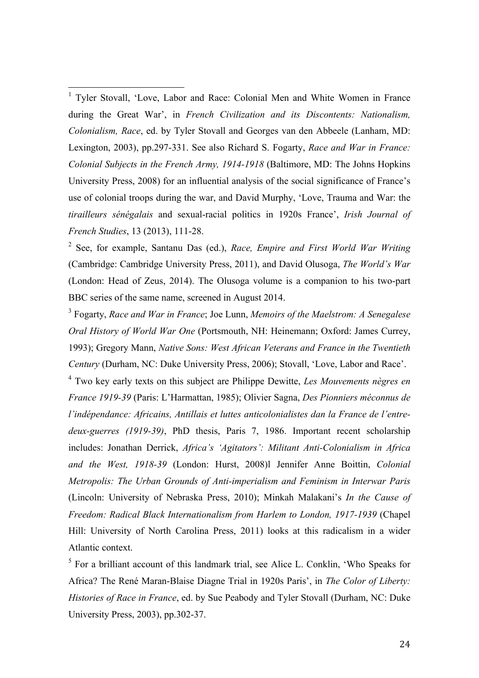<sup>1</sup> Tyler Stovall, 'Love, Labor and Race: Colonial Men and White Women in France during the Great War', in *French Civilization and its Discontents: Nationalism, Colonialism, Race*, ed. by Tyler Stovall and Georges van den Abbeele (Lanham, MD: Lexington, 2003), pp.297-331. See also Richard S. Fogarty, *Race and War in France: Colonial Subjects in the French Army, 1914-1918* (Baltimore, MD: The Johns Hopkins University Press, 2008) for an influential analysis of the social significance of France's use of colonial troops during the war, and David Murphy, 'Love, Trauma and War: the *tirailleurs sénégalais* and sexual-racial politics in 1920s France', *Irish Journal of French Studies*, 13 (2013), 111-28.

<sup>2</sup> See, for example, Santanu Das (ed.), *Race, Empire and First World War Writing* (Cambridge: Cambridge University Press, 2011), and David Olusoga, *The World's War* (London: Head of Zeus, 2014). The Olusoga volume is a companion to his two-part BBC series of the same name, screened in August 2014.

<sup>3</sup> Fogarty, *Race and War in France*; Joe Lunn, *Memoirs of the Maelstrom: A Senegalese Oral History of World War One* (Portsmouth, NH: Heinemann; Oxford: James Currey, 1993); Gregory Mann, *Native Sons: West African Veterans and France in the Twentieth Century* (Durham, NC: Duke University Press, 2006); Stovall, 'Love, Labor and Race'.

<sup>4</sup> Two key early texts on this subject are Philippe Dewitte, *Les Mouvements nègres en France 1919-39* (Paris: L'Harmattan, 1985); Olivier Sagna, *Des Pionniers méconnus de l'indépendance: Africains, Antillais et luttes anticolonialistes dan la France de l'entredeux-guerres (1919-39)*, PhD thesis, Paris 7, 1986. Important recent scholarship includes: Jonathan Derrick, *Africa's 'Agitators': Militant Anti-Colonialism in Africa and the West, 1918-39* (London: Hurst, 2008)l Jennifer Anne Boittin, *Colonial Metropolis: The Urban Grounds of Anti-imperialism and Feminism in Interwar Paris* (Lincoln: University of Nebraska Press, 2010); Minkah Malakani's *In the Cause of Freedom: Radical Black Internationalism from Harlem to London, 1917-1939* (Chapel Hill: University of North Carolina Press, 2011) looks at this radicalism in a wider Atlantic context.

 $<sup>5</sup>$  For a brilliant account of this landmark trial, see Alice L. Conklin, 'Who Speaks for</sup> Africa? The René Maran-Blaise Diagne Trial in 1920s Paris', in *The Color of Liberty: Histories of Race in France*, ed. by Sue Peabody and Tyler Stovall (Durham, NC: Duke University Press, 2003), pp.302-37.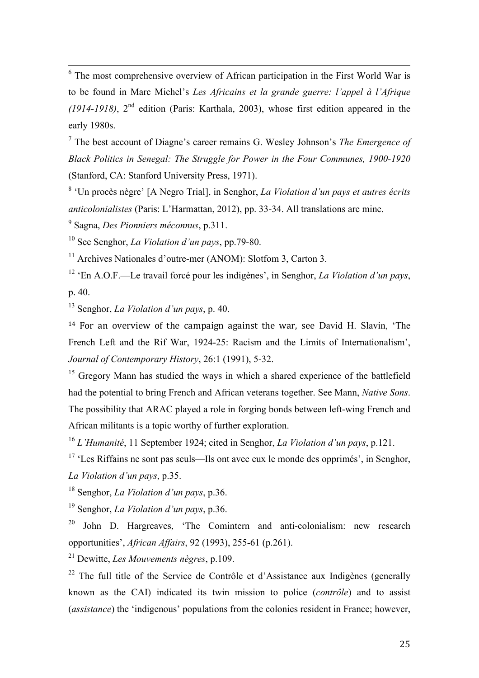$6$  The most comprehensive overview of African participation in the First World War is to be found in Marc Michel's *Les Africains et la grande guerre: l'appel à l'Afrique (1914-1918)*, 2nd edition (Paris: Karthala, 2003), whose first edition appeared in the early 1980s.

<sup>7</sup> The best account of Diagne's career remains G. Wesley Johnson's *The Emergence of Black Politics in Senegal: The Struggle for Power in the Four Communes, 1900-1920* (Stanford, CA: Stanford University Press, 1971).

<sup>8</sup> 'Un procès nègre' [A Negro Trial], in Senghor, *La Violation d'un pays et autres écrits anticolonialistes* (Paris: L'Harmattan, 2012), pp. 33-34. All translations are mine.

<sup>9</sup> Sagna, *Des Pionniers méconnus*, p.311.

<sup>10</sup> See Senghor, *La Violation d'un pays*, pp.79-80.

<sup>11</sup> Archives Nationales d'outre-mer (ANOM): Slotfom 3, Carton 3.

<sup>12</sup> 'En A.O.F.—Le travail forcé pour les indigènes', in Senghor, *La Violation d'un pays*, p. 40.

<sup>13</sup> Senghor, *La Violation d'un pays*, p. 40.

 $14$  For an overview of the campaign against the war, see David H. Slavin, 'The French Left and the Rif War, 1924-25: Racism and the Limits of Internationalism', *Journal of Contemporary History*, 26:1 (1991), 5-32.

<sup>15</sup> Gregory Mann has studied the ways in which a shared experience of the battlefield had the potential to bring French and African veterans together. See Mann, *Native Sons*. The possibility that ARAC played a role in forging bonds between left-wing French and African militants is a topic worthy of further exploration.

<sup>16</sup> *L'Humanité*, 11 September 1924; cited in Senghor, *La Violation d'un pays*, p.121.

<sup>17</sup> 'Les Riffains ne sont pas seuls—Ils ont avec eux le monde des opprimés', in Senghor, *La Violation d'un pays*, p.35.

<sup>18</sup> Senghor, *La Violation d'un pays*, p.36.

<sup>19</sup> Senghor, *La Violation d'un pays*, p.36.

 $20$  John D. Hargreaves, 'The Comintern and anti-colonialism: new research opportunities', *African Affairs*, 92 (1993), 255-61 (p.261).

<sup>21</sup> Dewitte, *Les Mouvements nègres*, p.109.

 $22$  The full title of the Service de Contrôle et d'Assistance aux Indigènes (generally known as the CAI) indicated its twin mission to police (*contrôle*) and to assist (*assistance*) the 'indigenous' populations from the colonies resident in France; however,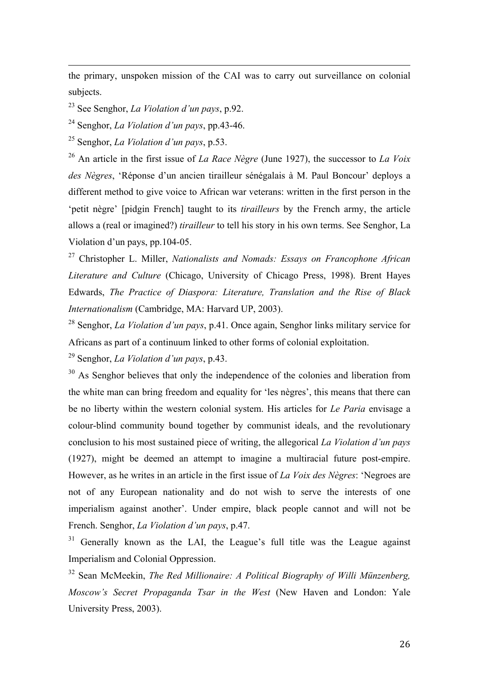the primary, unspoken mission of the CAI was to carry out surveillance on colonial subjects.

<u> 1989 - Johann Stein, marwolaethau a bhannaich an chomhair an chomhair an chomhair an chomhair an chomhair an</u>

<sup>23</sup> See Senghor, *La Violation d'un pays*, p.92.

<sup>24</sup> Senghor, *La Violation d'un pays*, pp.43-46.

<sup>25</sup> Senghor, *La Violation d'un pays*, p.53.

<sup>26</sup> An article in the first issue of *La Race Nègre* (June 1927), the successor to *La Voix des Nègres*, 'Réponse d'un ancien tirailleur sénégalais à M. Paul Boncour' deploys a different method to give voice to African war veterans: written in the first person in the 'petit nègre' [pidgin French] taught to its *tirailleurs* by the French army, the article allows a (real or imagined?) *tirailleur* to tell his story in his own terms. See Senghor, La Violation d'un pays, pp.104-05.

<sup>27</sup> Christopher L. Miller, *Nationalists and Nomads: Essays on Francophone African Literature and Culture* (Chicago, University of Chicago Press, 1998). Brent Hayes Edwards, *The Practice of Diaspora: Literature, Translation and the Rise of Black Internationalism* (Cambridge, MA: Harvard UP, 2003).

<sup>28</sup> Senghor, *La Violation d'un pays*, p.41. Once again, Senghor links military service for Africans as part of a continuum linked to other forms of colonial exploitation.

<sup>29</sup> Senghor, *La Violation d'un pays*, p.43.

<sup>30</sup> As Senghor believes that only the independence of the colonies and liberation from the white man can bring freedom and equality for 'les nègres', this means that there can be no liberty within the western colonial system. His articles for *Le Paria* envisage a colour-blind community bound together by communist ideals, and the revolutionary conclusion to his most sustained piece of writing, the allegorical *La Violation d'un pays* (1927), might be deemed an attempt to imagine a multiracial future post-empire. However, as he writes in an article in the first issue of *La Voix des Nègres*: 'Negroes are not of any European nationality and do not wish to serve the interests of one imperialism against another'. Under empire, black people cannot and will not be French. Senghor, *La Violation d'un pays*, p.47.

 $31$  Generally known as the LAI, the League's full title was the League against Imperialism and Colonial Oppression.

<sup>32</sup> Sean McMeekin, *The Red Millionaire: A Political Biography of Willi Münzenberg, Moscow's Secret Propaganda Tsar in the West* (New Haven and London: Yale University Press, 2003).